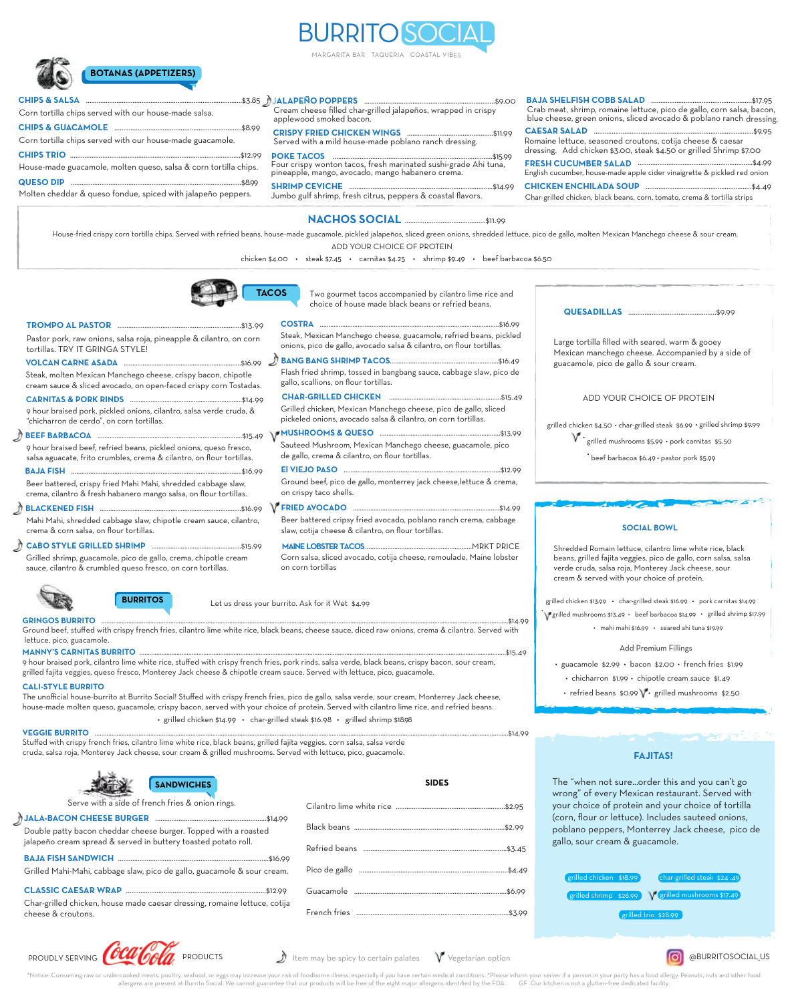# BURRITO SOCIAL

MARGARITA BAR TAQUERIA COASTAL VIBES



**CHIPS & SALSA** 

#### J**ALAPENO POPPERS** .........................................................................\$9.00 **˜** Cream cheese filled char-grilled jalapeños, wrapped in crispy

applewood smoked bacon.

**CHIPS TRIO** ...............................................................................................\$12.99 Corn tortilla chips served with our house-made salsa. **CHIPS & GUACAMOLE** .......................................................................\$8.99 Corn tortilla chips served with our house-made guacamole.

House-made guacamole, molten queso, salsa & corn tortilla chips.

**QUESO DIP** ...............................................................................................\$8.99

### **CRISPY FRIED CHICKEN WINGS** ................................................\$11.99

Served with a mild house-made poblano ranch dressing.

**POKE TACOS** .........................................................................................\$15.99 Four crispy wonton tacos, fresh marinated sushi-grade Ahi tuna, pineapple, mango, avocado, mango habanero cren

Molten cheddar & queso fondue, spiced with jalapeño peppers. **SHRIMP CEVICHE** ................................................................................\$14.99 Jumbo gulf shrimp, fresh citrus, peppers & coastal flavors.

**NACHOS SOCIAL** .............................................\$11.99

ADD YOUR CHOICE OF PROTEIN House-fried crispy corn tortilla chips. Served with refried beans, house-made guacamole, pickled jalapeños, sliced green onions, shredded lettuce, pico de gallo, molten Mexican Manchego cheese & sour cream.

chicken \$4.00 • steak \$7.45 • carnitas \$4.25 • shrimp \$9.49 • beef barbacoa \$6.50



Two gourmet tacos accompanied by cilantro lime rice and choice of house made black beans or refried beans.

| Pastor pork, raw onions, salsa roja, pineapple & cilantro, on corn<br>tortillas. TRY IT GRINGA STYLE!                                      | Steak, Mexican Manchego cheese, guacamole, refried beans, pickled<br>onions, pico de gallo, avocado salsa & cilantro, on flour tortillas. |  |
|--------------------------------------------------------------------------------------------------------------------------------------------|-------------------------------------------------------------------------------------------------------------------------------------------|--|
|                                                                                                                                            |                                                                                                                                           |  |
| Steak, molten Mexican Manchego cheese, crispy bacon, chipotle<br>cream sauce & sliced avocado, on open-faced crispy corn Tostadas.         | Flash fried shrimp, tossed in bangbang sauce, cabbage slaw, pico de<br>gallo, scallions, on flour tortillas.                              |  |
|                                                                                                                                            |                                                                                                                                           |  |
| 9 hour braised pork, pickled onions, cilantro, salsa verde cruda, &<br>"chicharron de cerdo", on corn tortillas.                           | Grilled chicken, Mexican Manchego cheese, pico de gallo, sliced<br>pickeled onions, avocado salsa & cilantro, on corn tortillas.          |  |
|                                                                                                                                            |                                                                                                                                           |  |
| 9 hour braised beef, refried beans, pickled onions, queso fresco,<br>salsa aguacate, frito crumbles, crema & cilantro, on flour tortillas. | Sauteed Mushroom, Mexican Manchego cheese, guacamole, pico<br>de gallo, crema & cilantro, on flour tortillas.                             |  |
|                                                                                                                                            |                                                                                                                                           |  |
| Beer battered, crispy fried Mahi Mahi, shredded cabbage slaw,<br>crema, cilantro & fresh habanero mango salsa, on flour tortillas.         | Ground beef, pico de gallo, monterrey jack cheese, lettuce & crema,<br>on crispy taco shells.                                             |  |
|                                                                                                                                            |                                                                                                                                           |  |
| Mahi Mahi, shredded cabbage slaw, chipotle cream sauce, cilantro,<br>crema & corn salsa, on flour tortillas.                               | Beer battered cripsy fried avocado, poblano ranch crema, cabbage<br>slaw, cotija cheese & cilantro, on flour tortillas.                   |  |
|                                                                                                                                            |                                                                                                                                           |  |
| Grilled shrimp, guacamole, pico de gallo, crema, chipotle cream<br>sauce, cilantro & crumbled queso fresco, on corn tortillas.             | Corn salsa, sliced avocado, cotija cheese, remoulade, Maine lobster<br>on corn tortillas                                                  |  |



Let us dress your burrito. Ask for it Wet \$4.99

Ground beef, stuffed with crispy french fries, cilantro lime white rice, black beans, cheese sauce, diced raw onions, crema & cilantro. Served with lettuce, pico, guacamole. **GRINGOS BURRITO** ..................................................................................................................................................................................................................................................\$14.99

#### **MANNY'S CARNITAS BURRITO** ..........................................................................................................................................................................................................................\$15.49

9 hour braised pork, cilantro lime white rice, stuffed with crispy french fries, pork rinds, salsa verde, black beans, crispy bacon, sour cream, grilled fajita veggies, queso fresco, Monterey Jack cheese & chipotle cream sauce. Served with lettuce, pico, guacamole.

#### **CALI-STYLE BURRITO**

The unofficial house-burrito at Burrito Social! Stuffed with crispy french fries, pico de gallo, salsa verde, sour cream, Monterrey Jack cheese, house-made molten queso, guacamole, crispy bacon, served with your choice of protein. Served with cilantro lime rice, and refried beans. • grilled chicken \$14.99 • char-grilled steak \$16.98 • grilled shrimp \$18.98

Stuffed with crispy french fries, cilantro lime white rice, black beans, grilled fajita veggies, corn salsa, salsa verde cruda, salsa roja, Monterey Jack cheese, sour cream & grilled mushrooms. Served with lettuce, pico, guacamole. **VEGGIE BURRITO** ......................................................................................................................................................................................................................................................\$14.99

| <b>SANDWICHE</b> |  |  |  |
|------------------|--|--|--|
|                  |  |  |  |

**BURRITOS**

| JETTE WILLI A SIGE OF ITELICIT LITES OF OTHOLL LITIES.                                                                            |  |
|-----------------------------------------------------------------------------------------------------------------------------------|--|
|                                                                                                                                   |  |
| Double patty bacon cheddar cheese burger. Topped with a roasted<br>jalapeño cream spread & served in buttery toasted potato roll. |  |
|                                                                                                                                   |  |
| Grilled Mahi-Mahi, cabbage slaw, pico de gallo, guacamole & sour cream.                                                           |  |
|                                                                                                                                   |  |

Char-grilled chicken, house made caesar dressing, romaine lettuce, cotija cheese & croutons.

| <b>SANDWICHES</b>                      | <b>SIDES</b> |
|----------------------------------------|--------------|
| ach fries & onion rings.               |              |
| burger. Topped with a roasted          |              |
| outtery toasted potato roll.           |              |
| co de gallo, guacamole & sour cream.   |              |
|                                        |              |
| esar dressing, romaine lettuce, cotija |              |

#### **QUESADILLAS** .................................................\$9.99

**CAESAR SALAD** .........................................................................................\$9.95 Romaine lettuce, seasoned croutons, cotija cheese & caesar dressing. Add chicken \$3.00, steak \$4.50 or grilled Shrimp \$7.00 **FRESH CUCUMBER SALAD** ................................................................\$4.99

**BAJA SHELFISH COBB SALAD** ........................................................\$17.95 Crab meat, shrimp, romaine lettuce, pico de gallo, corn salsa, bacon, blue cheese, green onions, sliced avocado & poblano ranch dressing.

English cucumber, house-made apple cider vinaigrette & pickled red onion

**CHICKEN ENCHILADA SOUP** ...........................................................\$4.49 Char-grilled chicken, black beans, corn, tomato, crema & tortilla strips

> Large tortilla filled with seared, warm & gooey Mexican manchego cheese. Accompanied by a side of guacamole, pico de gallo & sour cream.

#### ADD YOUR CHOICE OF PROTEIN

grilled chicken \$4.50 • char-grilled steak \$6.99 • grilled shrimp \$9.99

- \* grilled mushrooms \$5.99 · pork carnitas \$5.50
	- •<br>beef barbacoa \$6.49 pastor pork \$5.99 •

#### **SOCIAL BOWL**

Shredded Romain lettuce, cilantro lime white rice, black beans, grilled fajita veggies, pico de gallo, corn salsa, salsa verde cruda, salsa roja, Monterey Jack cheese, sour cream & served with your choice of protein.

• grilled mushrooms \$13.49 • beef barbacoa \$14.99 • grilled shrimp \$17.99 grilled chicken \$13.99 • char-grilled steak \$16.99 • pork carnitas \$14.99 • mahi mahi \$16.99 • seared ahi tuna \$19.99

#### Add Premium Fillings

- guacamole \$2.99 bacon \$2.00 french fries \$1.99 • chicharron \$1.99 • chipotle cream sauce \$1.49
- refried beans \$0.99  $\mathsf{V}\cdot$  grilled mushrooms \$2.50

#### **FAJITAS!**

The "when not sure...order this and you can't go wrong" of every Mexican restaurant. Served with your choice of protein and your choice of tortilla (corn, flour or lettuce). Includes sauteed onions, poblano peppers, Monterrey Jack cheese, pico de gallo, sour cream & guacamole.

| grilled chicken \$18.99 |  | char-grilled steak \$24.49                         |  |  |
|-------------------------|--|----------------------------------------------------|--|--|
|                         |  | grilled shrimp \$26.99 V grilled mushrooms \$17.49 |  |  |
| grilled trio \$28.99    |  |                                                    |  |  |
|                         |  |                                                    |  |  |

**O** @BURRITOSOCIAL US



|  |  |  | $\mathcal I$ Item may be spicy to certain palates |  | $\mathsf{V}$ Vegetarian option |  |
|--|--|--|---------------------------------------------------|--|--------------------------------|--|
|--|--|--|---------------------------------------------------|--|--------------------------------|--|

od, or eggs may increase your risk of foodborne illness, especially if you have certain medical conditions. \*Please inform your server if a person in your party has a food allergy. Peanuts, nuts and other food<br>o Social. We resent at Burrito Social. We cannot guarantee that our products will be free of the eight major allergens identified by the FDA.